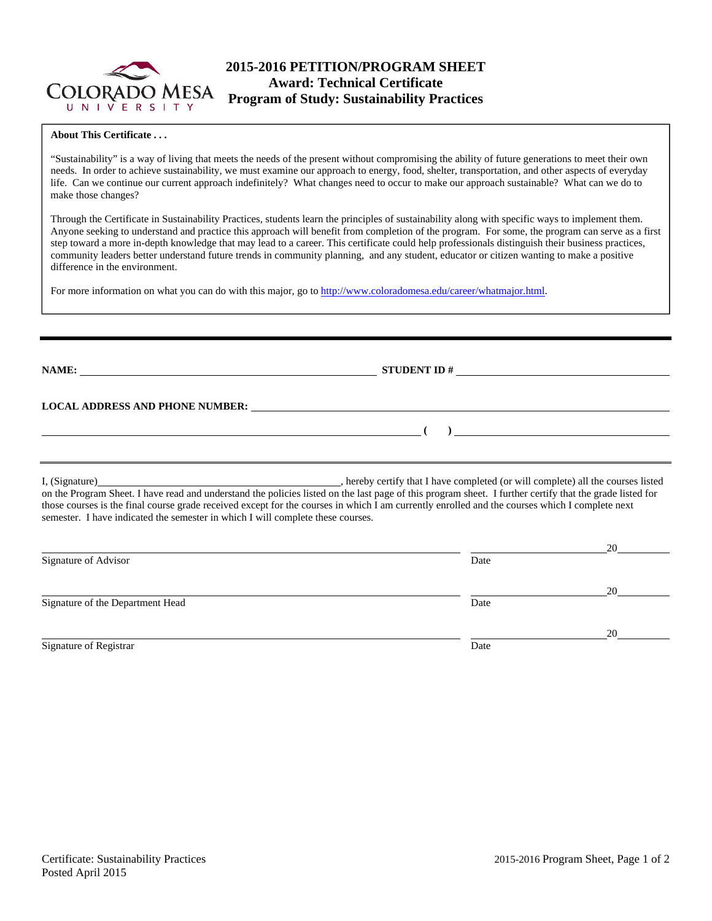

# **2015-2016 PETITION/PROGRAM SHEET Award: Technical Certificate Program of Study: Sustainability Practices**

### **About This Certificate . . .**

"Sustainability" is a way of living that meets the needs of the present without compromising the ability of future generations to meet their own needs. In order to achieve sustainability, we must examine our approach to energy, food, shelter, transportation, and other aspects of everyday life. Can we continue our current approach indefinitely? What changes need to occur to make our approach sustainable? What can we do to make those changes?

Through the Certificate in Sustainability Practices, students learn the principles of sustainability along with specific ways to implement them. Anyone seeking to understand and practice this approach will benefit from completion of the program. For some, the program can serve as a first step toward a more in-depth knowledge that may lead to a career. This certificate could help professionals distinguish their business practices, community leaders better understand future trends in community planning, and any student, educator or citizen wanting to make a positive difference in the environment.

For more information on what you can do with this major, go to http://www.coloradomesa.edu/career/whatmajor.html.

**NAME: STUDENT ID # STUDENT ID # STUDENT ID # STUDENT ID # STUDENT ID # STUDENT ID # STUDENT ID # STUDENT ID # STUDENT ID # STUDENT ID # STUDENT ID # STUDENT ID # STUDENT ID # STUDENT ID # STU** 

 **( )** 

**LOCAL ADDRESS AND PHONE NUMBER:**

I, (Signature) , hereby certify that I have completed (or will complete) all the courses listed on the Program Sheet. I have read and understand the policies listed on the last page of this program sheet. I further certify that the grade listed for those courses is the final course grade received except for the courses in which I am currently enrolled and the courses which I complete next semester. I have indicated the semester in which I will complete these courses.

|                                  |      | 20 |
|----------------------------------|------|----|
| Signature of Advisor             | Date |    |
|                                  |      | 20 |
| Signature of the Department Head | Date |    |
|                                  |      | 20 |
| Signature of Registrar           | Date |    |